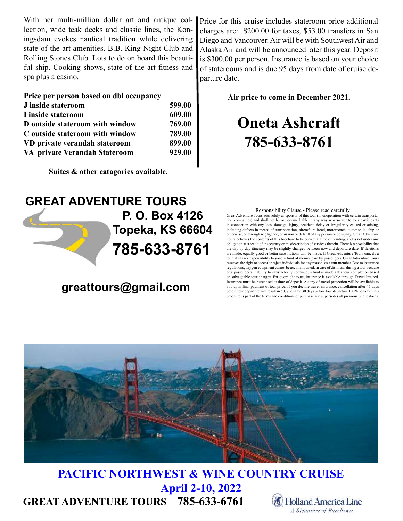With her multi-million dollar art and antique collection, wide teak decks and classic lines, the Koningsdam evokes nautical tradition while delivering state-of-the-art amenities. B.B. King Night Club and Rolling Stones Club. Lots to do on board this beautiful ship. Cooking shows, state of the art fitness and spa plus a casino.

#### Price per person based on dbl occupancy

| J inside stateroom              | 599.00 |
|---------------------------------|--------|
| I inside stateroom              | 609.00 |
| D outside stateroom with window | 769.00 |
| C outside stateroom with window | 789.00 |
| VD private verandah stateroom   | 899.00 |
| VA private Verandah Stateroom   | 929.00 |

Suites & other catagories available.

Price for this cruise includes stateroom price additional charges are: \$200.00 for taxes, \$53.00 transfers in San Diego and Vancouver. Air will be with Southwest Air and Alaska Air and will be announced later this year. Deposit is \$300.00 per person. Insurance is based on your choice of staterooms and is due 95 days from date of cruise departure date.

Air price to come in December 2021.

# Oneta Ashcraft 785-633-8761

## GREAT ADVENTURE TOURS 785-633-8761 P. O. Box 4126 Topeka, KS 66604

### greattours@gmail.com

#### Responsibility Clause - Please read carefully

Great Adventure Tours acts solely as sponsor of this tour (in cooperation with certain transportation companies) and shall not be or become liable in any way whatsoever to tour participants in connection with any loss, damage, injury, accident, delay or irregularity caused or arising, including defects in means of transportation, aircraft, railroad, motorcoach, automobile, ship or otherwise, or through negligence, omission or default of any person or company. Great Adventure Tours believes the contents of this brochure to be correct at time of printing, and is not under any obligation as a result of inaccuracy or misdescription of services therein. There is a possibility that the day-by-day itinerary may be slightly changed between now and departure date. If deletions are made, equally good or better substitutions will be made. If Great Adventure Tours cancels a tour, it has no responsibility beyond refund of monies paid by passengers. Great Adventure Tours reserves the right to accept or reject individuals for any reason, as a tour member. Due to insurance regulations, oxygen equipment cannot be accommodated. In case of dismissal during a tour because of a passenger's inability to satisfactorily continue, refund is made after tour completion based on salvageable tour charges. For overnight tours, insurance is available through Travel Insured. Insurance must be purchased at time of deposit. A copy of travel protection will be available to you upon final payment of tour price. If you decline travel insurance, cancellation after 45 days before tour departure will result in 50% penalty, 30 days before tour departure 100% penalty. This brochure is part of the terms and conditions of purchase and supersedes all previous publications.



## GREAT ADVENTURE TOURS 785-633-6761 PACIFIC NORTHWEST & WINE COUNTRY CRUISE April 2-10, 2022